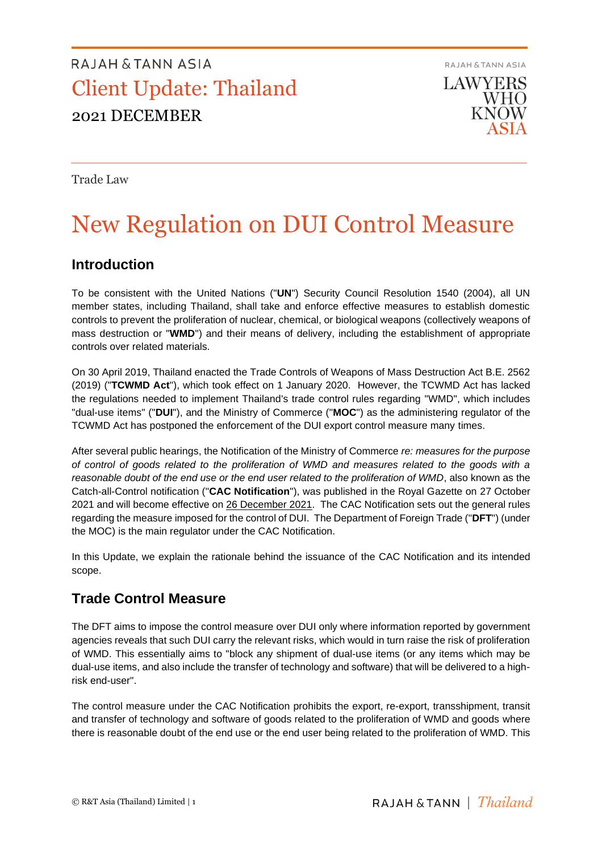RAJAH & TANN ASIA **LAWYERS WHO KNOW** 

Trade Law

# New Regulation on DUI Control Measure

### **Introduction**

To be consistent with the United Nations ("**UN**") Security Council Resolution 1540 (2004), all UN member states, including Thailand, shall take and enforce effective measures to establish domestic controls to prevent the proliferation of nuclear, chemical, or biological weapons (collectively weapons of mass destruction or "**WMD**") and their means of delivery, including the establishment of appropriate controls over related materials.

On 30 April 2019, Thailand enacted the Trade Controls of Weapons of Mass Destruction Act B.E. 2562 (2019) ("**TCWMD Act**"), which took effect on 1 January 2020. However, the TCWMD Act has lacked the regulations needed to implement Thailand's trade control rules regarding "WMD", which includes "dual-use items" ("**DUI**"), and the Ministry of Commerce ("**MOC**") as the administering regulator of the TCWMD Act has postponed the enforcement of the DUI export control measure many times.

After several public hearings, the Notification of the Ministry of Commerce *re: measures for the purpose of control of goods related to the proliferation of WMD and measures related to the goods with a reasonable doubt of the end use or the end user related to the proliferation of WMD*, also known as the Catch-all-Control notification ("**CAC Notification**"), was published in the Royal Gazette on 27 October 2021 and will become effective on 26 December 2021. The CAC Notification sets out the general rules regarding the measure imposed for the control of DUI. The Department of Foreign Trade ("**DFT**") (under the MOC) is the main regulator under the CAC Notification.

In this Update, we explain the rationale behind the issuance of the CAC Notification and its intended scope.

## **Trade Control Measure**

The DFT aims to impose the control measure over DUI only where information reported by government agencies reveals that such DUI carry the relevant risks, which would in turn raise the risk of proliferation of WMD. This essentially aims to "block any shipment of dual-use items (or any items which may be dual-use items, and also include the transfer of technology and software) that will be delivered to a highrisk end-user".

The control measure under the CAC Notification prohibits the export, re-export, transshipment, transit and transfer of technology and software of goods related to the proliferation of WMD and goods where there is reasonable doubt of the end use or the end user being related to the proliferation of WMD. This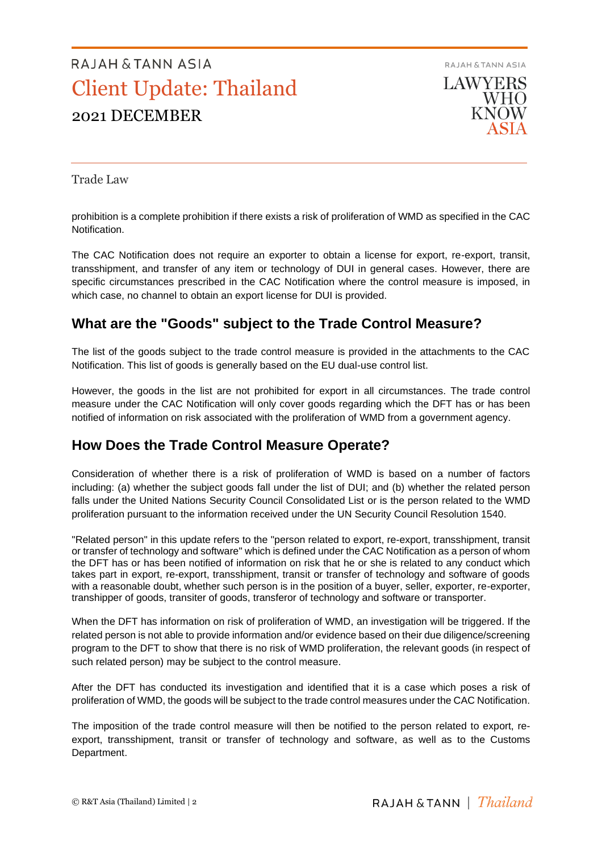

Trade Law

prohibition is a complete prohibition if there exists a risk of proliferation of WMD as specified in the CAC Notification.

The CAC Notification does not require an exporter to obtain a license for export, re-export, transit, transshipment, and transfer of any item or technology of DUI in general cases. However, there are specific circumstances prescribed in the CAC Notification where the control measure is imposed, in which case, no channel to obtain an export license for DUI is provided.

## **What are the "Goods" subject to the Trade Control Measure?**

The list of the goods subject to the trade control measure is provided in the attachments to the CAC Notification. This list of goods is generally based on the EU dual-use control list.

However, the goods in the list are not prohibited for export in all circumstances. The trade control measure under the CAC Notification will only cover goods regarding which the DFT has or has been notified of information on risk associated with the proliferation of WMD from a government agency.

### **How Does the Trade Control Measure Operate?**

Consideration of whether there is a risk of proliferation of WMD is based on a number of factors including: (a) whether the subject goods fall under the list of DUI; and (b) whether the related person falls under the United Nations Security Council Consolidated List or is the person related to the WMD proliferation pursuant to the information received under the UN Security Council Resolution 1540.

"Related person" in this update refers to the "person related to export, re-export, transshipment, transit or transfer of technology and software" which is defined under the CAC Notification as a person of whom the DFT has or has been notified of information on risk that he or she is related to any conduct which takes part in export, re-export, transshipment, transit or transfer of technology and software of goods with a reasonable doubt, whether such person is in the position of a buyer, seller, exporter, re-exporter, transhipper of goods, transiter of goods, transferor of technology and software or transporter.

When the DFT has information on risk of proliferation of WMD, an investigation will be triggered. If the related person is not able to provide information and/or evidence based on their due diligence/screening program to the DFT to show that there is no risk of WMD proliferation, the relevant goods (in respect of such related person) may be subject to the control measure.

After the DFT has conducted its investigation and identified that it is a case which poses a risk of proliferation of WMD, the goods will be subject to the trade control measures under the CAC Notification.

The imposition of the trade control measure will then be notified to the person related to export, reexport, transshipment, transit or transfer of technology and software, as well as to the Customs Department.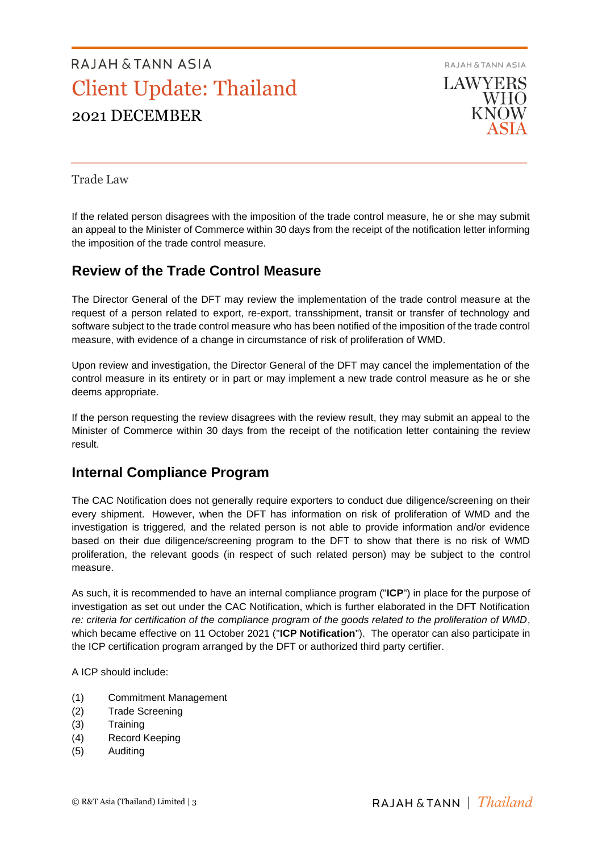

Trade Law

If the related person disagrees with the imposition of the trade control measure, he or she may submit an appeal to the Minister of Commerce within 30 days from the receipt of the notification letter informing the imposition of the trade control measure.

### **Review of the Trade Control Measure**

The Director General of the DFT may review the implementation of the trade control measure at the request of a person related to export, re-export, transshipment, transit or transfer of technology and software subject to the trade control measure who has been notified of the imposition of the trade control measure, with evidence of a change in circumstance of risk of proliferation of WMD.

Upon review and investigation, the Director General of the DFT may cancel the implementation of the control measure in its entirety or in part or may implement a new trade control measure as he or she deems appropriate.

If the person requesting the review disagrees with the review result, they may submit an appeal to the Minister of Commerce within 30 days from the receipt of the notification letter containing the review result.

### **Internal Compliance Program**

The CAC Notification does not generally require exporters to conduct due diligence/screening on their every shipment. However, when the DFT has information on risk of proliferation of WMD and the investigation is triggered, and the related person is not able to provide information and/or evidence based on their due diligence/screening program to the DFT to show that there is no risk of WMD proliferation, the relevant goods (in respect of such related person) may be subject to the control measure.

As such, it is recommended to have an internal compliance program ("**ICP**") in place for the purpose of investigation as set out under the CAC Notification, which is further elaborated in the DFT Notification *re: criteria for certification of the compliance program of the goods related to the proliferation of WMD*, which became effective on 11 October 2021 ("**ICP Notification**"). The operator can also participate in the ICP certification program arranged by the DFT or authorized third party certifier.

A ICP should include:

- (1) Commitment Management
- (2) Trade Screening
- (3) Training
- (4) Record Keeping
- (5) Auditing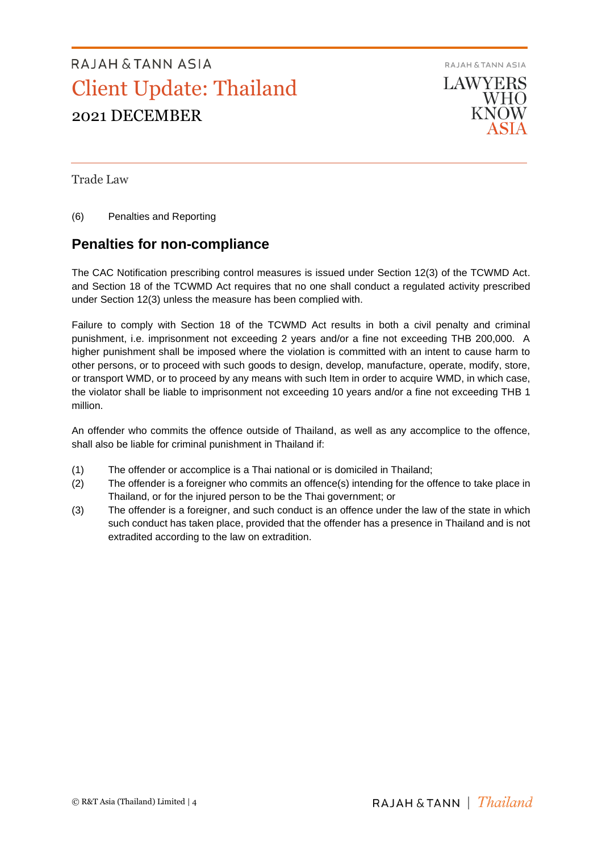

Trade Law

(6) Penalties and Reporting

### **Penalties for non-compliance**

The CAC Notification prescribing control measures is issued under Section 12(3) of the TCWMD Act. and Section 18 of the TCWMD Act requires that no one shall conduct a regulated activity prescribed under Section 12(3) unless the measure has been complied with.

Failure to comply with Section 18 of the TCWMD Act results in both a civil penalty and criminal punishment, i.e. imprisonment not exceeding 2 years and/or a fine not exceeding THB 200,000. A higher punishment shall be imposed where the violation is committed with an intent to cause harm to other persons, or to proceed with such goods to design, develop, manufacture, operate, modify, store, or transport WMD, or to proceed by any means with such Item in order to acquire WMD, in which case, the violator shall be liable to imprisonment not exceeding 10 years and/or a fine not exceeding THB 1 million.

An offender who commits the offence outside of Thailand, as well as any accomplice to the offence, shall also be liable for criminal punishment in Thailand if:

- (1) The offender or accomplice is a Thai national or is domiciled in Thailand;
- (2) The offender is a foreigner who commits an offence(s) intending for the offence to take place in Thailand, or for the injured person to be the Thai government; or
- (3) The offender is a foreigner, and such conduct is an offence under the law of the state in which such conduct has taken place, provided that the offender has a presence in Thailand and is not extradited according to the law on extradition.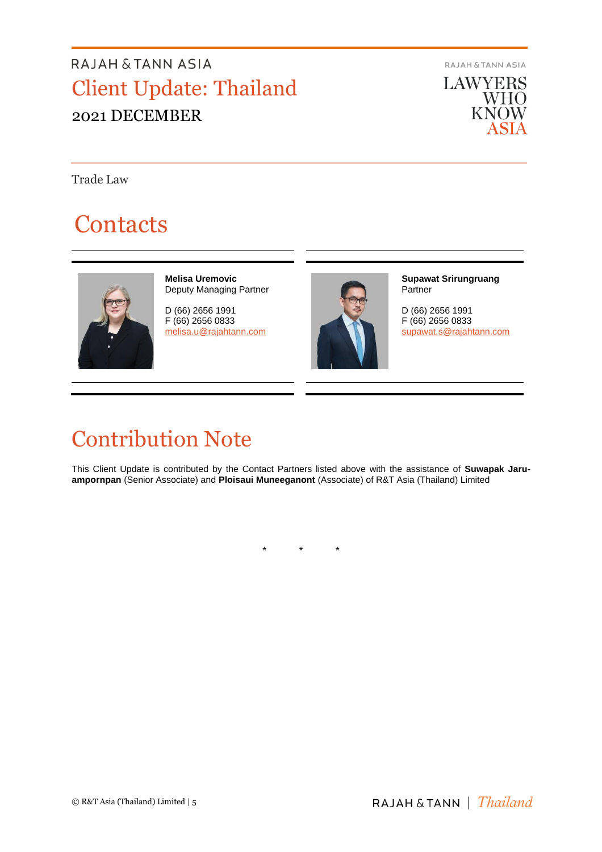**RAJAH & TANN ASIA** 

**LAWYERS WHO**<br>KNOW ASIA

Trade Law

# **Contacts**



**Melisa Uremovic** Deputy Managing Partner

D (66) 2656 1991 F (66) 2656 0833 [melisa.u@rajahtann.com](mailto:melisa.u@rajahtann.com)



**Supawat Srirungruang** Partner

D (66) 2656 1991 F (66) 2656 0833 [supawat.s@rajahtann.com](mailto:supawat.s@rajahtann.com)

# Contribution Note

This Client Update is contributed by the Contact Partners listed above with the assistance of **Suwapak Jaruampornpan** (Senior Associate) and **Ploisaui Muneeganont** (Associate) of R&T Asia (Thailand) Limited

\* \* \*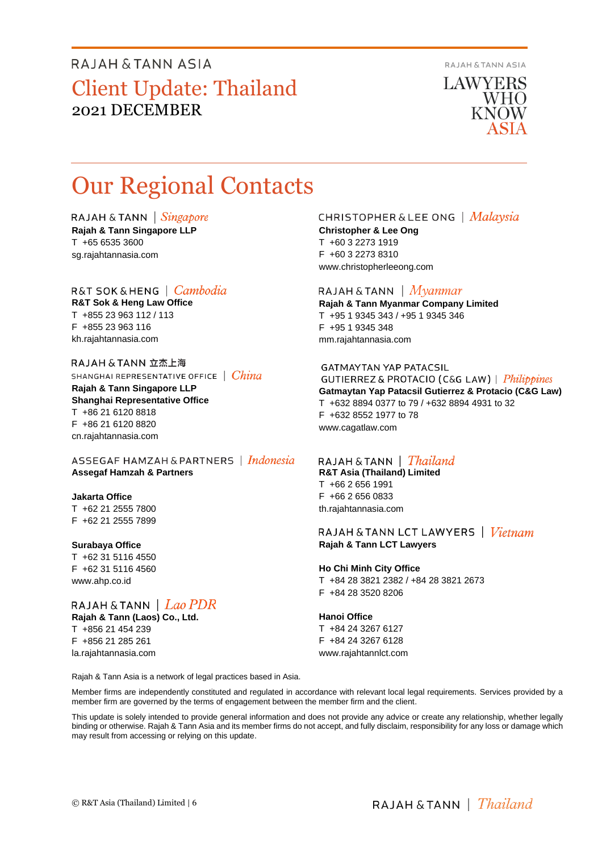**RAJAH & TANN ASIA** 

**LAWYERS WHO** KNOW

# Our Regional Contacts

RAJAH & TANN  $\int$  *Singapore* **Rajah & Tann Singapore LLP** T +65 6535 3600

R&T SOK&HENG | *Cambodia* 

**R&T Sok & Heng Law Office** T +855 23 963 112 / 113 F +855 23 963 116 kh.rajahtannasia.com

sg.rajahtannasia.com

RAJAH & TANN 立杰上海 SHANGHAI REPRESENTATIVE OFFICE | China

**Rajah & Tann Singapore LLP Shanghai Representative Office** T +86 21 6120 8818 F +86 21 6120 8820 cn.rajahtannasia.com

ASSEGAF HAMZAH & PARTNERS | Indonesia **Assegaf Hamzah & Partners**

### **Jakarta Office**

T +62 21 2555 7800 F +62 21 2555 7899

#### **Surabaya Office**

T +62 31 5116 4550 F +62 31 5116 4560 www.ahp.co.id

RAJAH & TANN  $|$  Lao PDR **Rajah & Tann (Laos) Co., Ltd.**

T +856 21 454 239 F +856 21 285 261 la.rajahtannasia.com

### CHRISTOPHER & LEE ONG | Malaysia **Christopher & Lee Ong** T +60 3 2273 1919

F +60 3 2273 8310 www.christopherleeong.com

### RAJAH & TANN  $\mid$  *Myanmar*

**Rajah & Tann Myanmar Company Limited** T +95 1 9345 343 / +95 1 9345 346 F +95 1 9345 348 mm.rajahtannasia.com

#### **GATMAYTAN YAP PATACSIL**

GUTIERREZ & PROTACIO (C&G LAW) | Philippines **Gatmaytan Yap Patacsil Gutierrez & Protacio (C&G Law)**  T +632 8894 0377 to 79 / +632 8894 4931 to 32 F +632 8552 1977 to 78 www.cagatlaw.com

### RAJAH & TANN | *Thailand*

**R&T Asia (Thailand) Limited** T +66 2 656 1991 F +66 2 656 0833 th.rajahtannasia.com

RAJAH & TANN LCT LAWYERS | Vietnam **Rajah & Tann LCT Lawyers**

### **Ho Chi Minh City Office**

T +84 28 3821 2382 / +84 28 3821 2673 F +84 28 3520 8206

#### **Hanoi Office**

T +84 24 3267 6127 F +84 24 3267 6128 www.rajahtannlct.com

Rajah & Tann Asia is a network of legal practices based in Asia.

Member firms are independently constituted and regulated in accordance with relevant local legal requirements. Services provided by a member firm are governed by the terms of engagement between the member firm and the client.

This update is solely intended to provide general information and does not provide any advice or create any relationship, whether legally binding or otherwise. Rajah & Tann Asia and its member firms do not accept, and fully disclaim, responsibility for any loss or damage which may result from accessing or relying on this update.